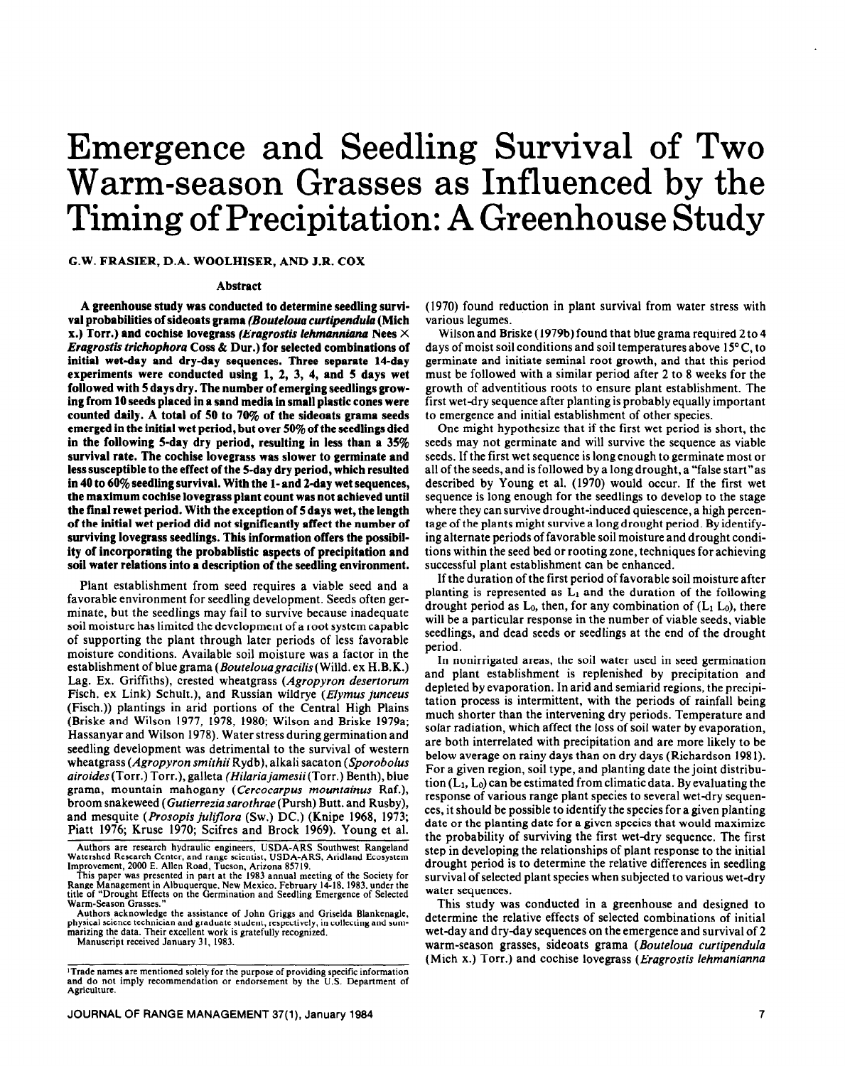# Emergence and Seedling Survival of Two Warm-season Grasses as Influenced by the Timing of Precipitation: **A** Greenhouse Study

### **G.W. FRASIER, D.A. WOOLHISER, AND J.R. COX**

#### **Abstract**

**A greenhouse study was conducted to determine seedling survfval probabilities of sideoats grama** *(Bouteloua curtipndula* **(Mich x.) Torr.) and cochise lovegrass** *(Erugrostis lehmanniana Nees X Eragrostis trichophora Coss &* **Dur.) for selected combinations of initial wet-day and dry-day sequences. Three separate 14-day experiments were conducted using 1, 2, 3, 4, and 5 days wet followed with 5 days dry. The number of emerging seedlings growing from 10 seeds placed in a sand media in small plastic cones were counted daily. A total of 50 to 7wc of the sideoats grama seeds emerged in the initial wet period, but over 50% of the seedlings died in the following S-day dry period, resulting in less than a 35% survival rate. The cochise lovegrass was slower to germinate and less susceptible to the effect of the 5-day dry period, which resulted**  in 40 to 60% seedling survival. With the 1- and 2-day wet sequences, **the maximum cochise lovegrass plant count was not achieved until the final rewet period. With the exception of 5 days wet, the length of the initial wet period did not significantly affect the number of surviving lovegrass seedlings. This information offers the possibility of incorporating the probablistic aspects of precipitation and soil water relations into a description of the seedling environment.** 

Plant establishment from seed requires a viable seed and a favorable environment for seedling development. Seeds often germinate, but the seedlings may fail to survive because inadequate soil moisture has limited the development of a root system capable of supporting the plant through later periods of less favorable moisture conditions. Available soil moisture was a factor in the establishment of blue grama (*Bouteloua gracilis* (Willd. ex H.B.K.) Lag. Ex. Griffiths), crested wheatgrass (Agropyron *desertorum*  Fisch. ex Link) Schult.), and Russian wildrye (*Elymus junceus* (Fisch.)) plantings in arid portions of the Central High Plains (Briske and Wilson 1977, 1978, 1980; Wilson and Briske 1979a; Hassanyar and Wilson 1978). Water stress during germination and seedling development was detrimental to the survival of western wheatgrass *(Agropyron smithii* Rydb), alkali sacaton *(Sporobolus airoides* (Torr.) Torr.), galleta *(Hiluriujumesii(Torr.)* Benth), blue grama, mountain mahogany *(Cercocarpus mountainus* Raf.), broom snakeweed *(Gutierrezia sarothrae* (Pursh) Butt. and Rusby), and mesquite *(Prosopis juliflora (SW.)* DC.) (Knipe 1968, 1973; Piatt 1976; Kruse 1970; Scifres and Brock 1969). Young et al.

Authors acknowledge the assistance of John Griggs and Griselda Blankenagle, physical science technician and graduate student, respectively, in collecting and summarizing the data. Their excellent work is gratefully recognized.

Manuscript received January 31, 1983.

(1970) found reduction in plant survival from water stress with various legumes.

Wilson and Briske (1979b) found that blue grama required 2 to 4 days of moist soil conditions and soil temperatures above  $15^{\circ}$ C, to germinate and initiate seminal root growth, and that this period must be followed with a similar period after 2 to 8 weeks for the growth of adventitious roots to ensure plant establishment. The first wet-dry sequence after planting is probably equally important to emergence and initial establishment of other species.

One might hypothesize that if the first wet period is short, the seeds may not germinate and will survive the sequence as viable seeds. If the first wet sequence is long enough to germinate most or all of the seeds, and is followed by a long drought, a "false start"as described by Young et al. (1970) would occur. If the first wet sequence is long enough for the seedlings to develop to the stage where they can survive drought-induced quiescence, a high percentage of the plants might survive a long drought period. By identifying alternate periods of favorable soil moisture and drought conditions within the seed bed or rooting zone, techniques for achieving successful plant establishment can be enhanced.

If the duration of the first period of favorable soil moisture after planting is represented as  $L_1$  and the duration of the following drought period as  $L_0$ , then, for any combination of  $(L_1 L_0)$ , there will be a particular response in the number of viable seeds, viable seedlings, and dead seeds or seedlings at the end of the drought period.

In nonirrigated areas, the soil water used in seed germination and plant establishment is replenished by precipitation and depleted by evaporation. In arid and semiarid regions, the precipitation process is intermittent, with the periods of rainfall being much shorter than the intervening dry periods. Temperature and solar radiation, which affect the loss of soil water by evaporation, are both interrelated with precipitation and are more likely to be below average on rainy days than on dry days (Richardson 198 I). For a given region, soil type, and planting date the joint distribution  $(L_1, L_0)$  can be estimated from climatic data. By evaluating the response of various range plant species to several wet-dry sequences, it should be possible to identify the species for a given planting date or the planting date for a given species that would maximize the probability of surviving the first wet-dry sequence. The first step in developing the relationships of plant response to the initial drought period is to determine the relative differences in seedling survival of selected plant species when subjected to various wet-dry water sequences.

This study was conducted in a greenhouse and designed to determine the relative effects of selected combinations of initial wet-day and dry-day sequences on the emergence and survival of 2 warm-season grasses, sideoats grama *(Bouteloua curtipendula*  (Mich x.) Torr.) and cochise lovegrass *(Eragrostis lehmanianna* 

Authors are research hydraulic engineers, USDA-ARS Southwest Rangeland Watershed Research Center, and range scientist, USDA-ARS, Aridland Ecosystem

Improvement, 2000 E. Allen Road, Tucson, Arizona 85719. This paper was presented in part at the 1983 annual meeting of the Society for Range Management in Albuquerque, New Mexico, February 14-18,1983, under the title of "Drought Effects on the Germination and Seedling Emergence of Selected Warm-Season Grasses."

<sup>&</sup>lt;sup>1</sup>Trade names are mentioned solely for the purpose of providing specific information and do not imply recommendation or endorsement by the U.S. Department of Agriculture.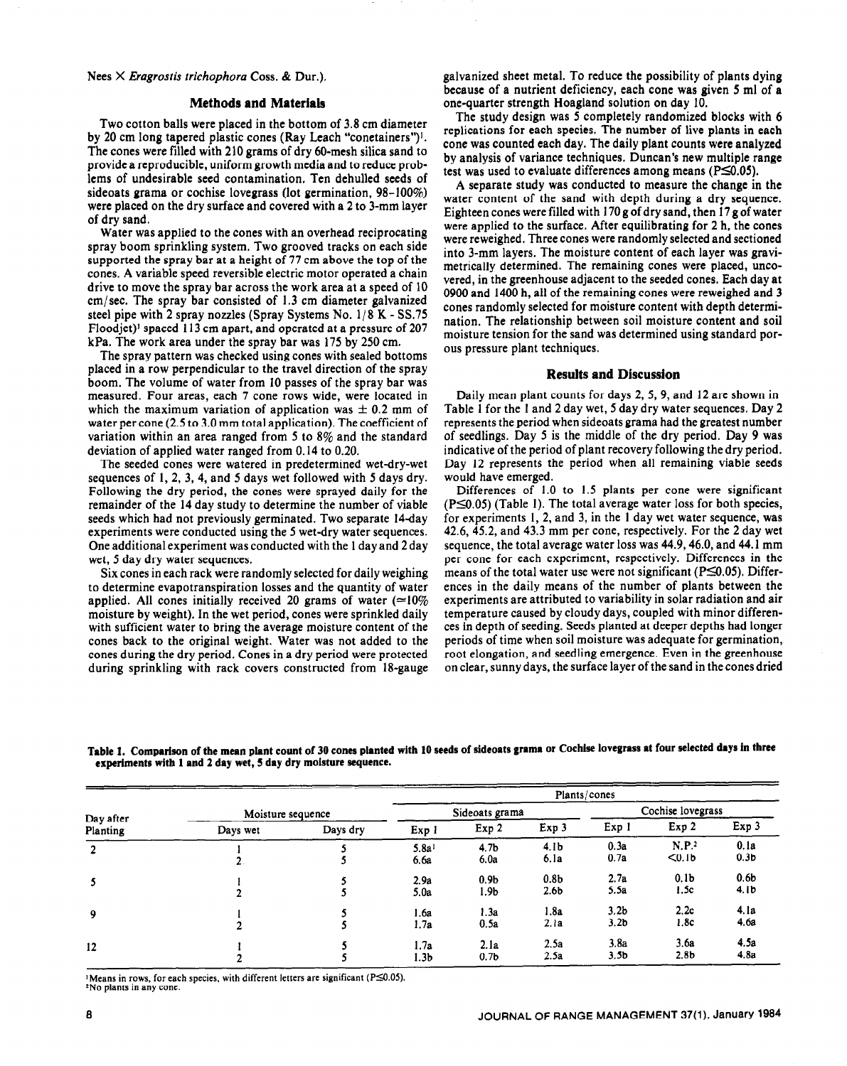*Nees X Eragrostis trichophora Coss. &* Dur.).

#### **Methods and Materials**

Two cotton balls were placed in the bottom of 3.8 cm diameter by 20 cm long tapered plastic cones (Ray Leach "conetainers")'. The cones were filled with 210 grams of dry 60-mesh silica sand to provide a reproducible, uniform growth media and to reduce problems of undesirable seed contamination. Ten dehulled seeds of sideoats grama or cochise lovegrass (lot germination, 98-100%) were placed on the dry surface and covered with a 2 to 3-mm layer of dry sand.

Water was applied to the cones with an overhead reciprocating spray boom sprinkling system. Two grooved tracks on each side supported the spray bar at a height of 77 cm above the top of the cones. A variable speed reversible electric motor operated a chain drive to move the spray bar across the work area at a speed of 10 cm/ sec. The spray bar consisted of I .3 cm diameter galvanized steel pipe with 2 spray nozzles (Spray Systems No. 1/8 K - SS.75) Floodjet)<sup>1</sup> spaced 113 cm apart, and operated at a pressure of 207 kPa. The work area under the spray bar was 175 by 250 cm.

The spray pattern was checked using cones with sealed bottoms placed in a row perpendicular to the travel direction of the spray boom. The volume of water from 10 passes of the spray bar was measured. Four areas, each 7 cone rows wide, were located in which the maximum variation of application was  $\pm$  0.2 mm of water per cone (2.5 to 3.0 mm total application). The coefficient of variation within an area ranged from 5 to 8% and the standard deviation of applied water ranged from 0.14 to 0.20.

The seeded cones were watered in predetermined wet-dry-wet sequences of 1, 2, 3, 4, and 5 days wet followed with 5 days dry. Following the dry period, the cones were sprayed daily for the remainder of the 14 day study to determine the number of viable seeds which had not previously germinated. Two separate 14-day experiments were conducted using the 5 wet-dry water sequences. One additional experiment was conducted with the 1 day and 2 day wet, 5 day dry water sequences.

Six cones in each rack were randomly selected for daily weighing to determine evapotranspiration losses and the quantity of water applied. All cones initially received 20 grams of water ( $\simeq$ 10%) moisture by weight). In the wet period, cones were sprinkled daily with sufficient water to bring the average moisture content of the cones back to the original weight. Water was not added to the cones during the dry period. Cones in a dry period were protected during sprinkling with rack covers constructed from 18-gauge galvanized sheet metal. To reduce the possibility of plants dying because of a nutrient deficiency, each cone was given 5 ml of a one-quarter strength Hoagland solution on day 10.

The study design was 5 completely randomized blocks with 6 replications for each species. The number of live plants in each cone was counted each day. The daily plant counts were analyzed by analysis of variance techniques. Duncan's new multiple range test was used to evaluate differences among means ( $P\leq 0.05$ ).

A separate study was conducted to measure the change in the water content of the sand with depth during a dry sequence. Eighteen cones were filled with 170 g of dry sand, then 17 g of water were applied to the surface. After equilibrating for 2 h, the cones were reweighed. Three cones were randomly selected and sectioned into 3-mm layers. The moisture content of each layer was gravimetrically determined. The remaining cones were placed, uncovered, in the greenhouse adjacent to the seeded cones. Each day at 0900 and 1400 h, all of the remaining cones were reweighed and 3 cones randomly selected for moisture content with depth determination. The relationship between soil moisture content and soil moisture tension for the sand was determined using standard porous pressure plant techniques.

#### **Results and Discussion**

Daily mean plant counts for days 2, 5,9, and 12 are shown in Table 1 for the I and 2 day wet, 5 day dry water sequences. Day 2 represents the period when sideoats grama had the greatest number of seedlings. Day 5 is the middle of the dry period. Day 9 was indicative of the period of plant recovery following the dry period. Day 12 represents the period when all remaining viable seeds would have emerged.

Differences of 1.0 to 1.5 plants per cone were significant  $(P \le 0.05)$  (Table 1). The total average water loss for both species, for experiments 1,2, and 3, in the 1 day wet water sequence, was 42.6, 45.2, and 43.3 mm per cone, respectively. For the 2 day wet sequence, the total average water loss was 44.9,46.0, and 44.1 mm per cone for each experiment, respectively. Differences in the means of the total water use were not significant ( $P\leq 0.05$ ). Differences in the daily means of the number of plants between the experiments are attributed to variability in solar radiation and air temperature caused by cloudy days, coupled with minor differences in depth of seeding. Seeds planted at deeper depths had longer periods of time when soil moisture was adequate for germination, root elongation, and seedling emergence. Even in the greenhouse on clear, sunny days, the surface layer of the sand in the cones dried

|                       |                   |          |                   |                  |                  | Plants/cones      |                   |                  |
|-----------------------|-------------------|----------|-------------------|------------------|------------------|-------------------|-------------------|------------------|
| Day after<br>Planting | Moisture sequence |          | Sideoats grama    |                  |                  | Cochise lovegrass |                   |                  |
|                       | Days wet          | Days dry | Exp 1             | Exp 2            | Exp 3            | Exp 1             | Exp <sub>2</sub>  | Exp 3            |
| $\overline{2}$        |                   |          | 5.8a <sup>1</sup> | 4.7 <sub>b</sub> | 4.1 <sub>b</sub> | 0.3a              | N.P. <sup>2</sup> | 0.1a             |
|                       |                   |          | 6.6a              | 6.0a             | 6.1a             | 0.7a              | < 0.1b            | 0.3 <sub>b</sub> |
| 5                     |                   |          | 2.9a              | 0.9 <sub>b</sub> | 0.8 <sub>b</sub> | 2.7a              | 0.1 <sub>b</sub>  | 0.6 <sub>b</sub> |
|                       |                   |          | 5.0a              | 1.9b             | 2.6 <sub>b</sub> | 5.5a              | 1.5c              | 4.1 <sub>b</sub> |
| 9                     |                   |          | 1.6a              | 1.3a             | 1.8a             | 3.2 <sub>b</sub>  | 2.2c              | 4.1a             |
|                       |                   |          | 1.7a              | 0.5a             | 2.1a             | 3.2 <sub>b</sub>  | 1.8c              | 4.6a             |
| 12                    |                   |          | 1.7a              | 2.1a             | 2.5a             | 3.8a              | 3.6a              | 4.5a             |
|                       |                   |          | l.3b              | 0.7 <sub>b</sub> | 2.5a             | 3.5 <sub>b</sub>  | 2.8 <sub>b</sub>  | 4.8a             |

Table 1. Comparison of the mean plant count of 30 cones planted with 10 seeds of sideoats grama or Cochise lovegrass at four selected days in three **experiments with 1 and 2 day wet, 5 day dry moisture sequence.** 

'Means in rows, for each species, with different letters are significant ( $P \le 0.05$ ). 'No plants in any cone.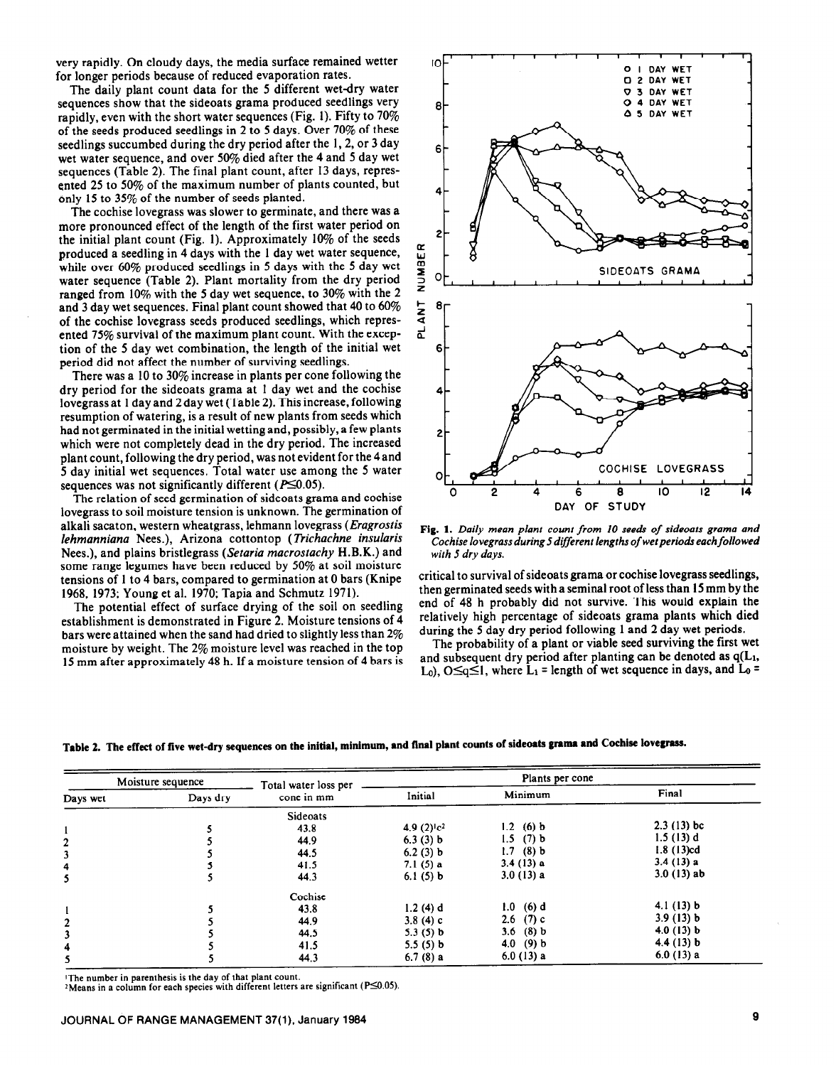very rapidly. On cloudy days, the media surface remained wetter for longer periods because of reduced evaporation rates.

The daily plant count data for the 5 different wet-dry water sequences show that the sideoats grama produced seedlings very rapidly, even with the short water sequences (Fig. 1). Fifty to  $70\%$ of the seeds produced seedlings in 2 to 5 days. Over 70% of these seedlings succumbed during the dry period after the 1, 2, or 3 day wet water sequence, and over 50% died after the 4 and 5 day wet sequences (Table 2). The final plant count, after 13 days, represented 25 to 50% of the maximum number of plants counted, but only 15 to 35% of the number of seeds planted.

The cochise lovegrass was slower to germinate, and there was a more pronounced effect of the length of the first water period on the initial plant count (Fig. 1). Approximately 10% of the seeds produced a seedling in 4 days with the 1 day wet water sequence, while over 60% produced seedlings in 5 days with the 5 day wet water sequence (Table 2). Plant mortality from the dry period ranged from 10% with the 5 day wet sequence, to 30% with the 2 and 3 day wet sequences. Final plant count showed that 40 to 60% of the cochise lovegrass seeds produced seedlings, which represented 75% survival of the maximum plant count. With the exception of the 5 day wet combination, the length of the initial wet period did not affect the number of surviving seedlings.

There was a 10 to 30% increase in plants per cone following the dry period for the sideoats grama at 1 day wet and the cochise lovegrass at 1 day and 2day wet (Table 2). This increase, following resumption of watering, is a result of new plants from seeds which had not germinated in the initial wetting and, possibly, a few plants which were not completely dead in the dry period. The increased plant count, following the dry period, was not evident for the 4and 5 day initial wet sequences. Total water use among the 5 water sequences was not significantly different ( $P \le 0.05$ ).

The relation of seed germination of sideoats grama and cochise lovegrass to soil moisture tension is unknown. The germination of alkali sacaton, western wheatgrass, lehmann lovegrass (*Eragrostis lehmanniana Nees.),* Arizona cottontop *(Trichachne insularis Nees.),* and plains bristlegrass (Setaria *macrostachy* H.B.K.) and some range legumes have been reduced by 50% at soil moisture tensions of 1 to 4 bars, compared to germination at 0 bars (Knipe 1968, 1973; Young et al. 1970; Tapia and Schmutz 1971).

The potential effect of surface drying of the soil on seedling establishment is demonstrated in Figure 2. Moisture tensions of 4 bars were attained when the sand had dried to slightly less than 2% moisture by weight. The 2% moisture level was reached in the top 15 mm after approximately 48 h. If a moisture tension of 4 bars is



**Fig. 1.** *Daily mean plant count from 10 see& of sideoats grama and Cochise lovegrass during 5 different lengths of* **wet** *periods each followed with 5 dry days.* 

critical to survival of sideoats grama or cochise lovegrass seedlings, then germinated seeds with a seminal root of less than 15 mm by the end of 48 h probably did not survive. This would explain the relatively high percentage of sideoats grama plants which died during the 5 day dry period following 1 and 2 day wet periods.

The probability of a plant or viable seed surviving the first wet and subsequent dry period after planting can be denoted as  $q(L_1, t)$ L<sub>0</sub>), O $\leq q \leq 1$ , where L<sub>1</sub> = length of wet sequence in days, and L<sub>0</sub> =

Table 2. **The effect of five wet-dry sequences on the initial, minimum, end final plant counts of sideoats grama and Cochise lovegrass.** 

| Moisture sequence |          | Total water loss per |                  | Plants per cone |              |
|-------------------|----------|----------------------|------------------|-----------------|--------------|
| Days wet          | Days dry | cone in mm           | Initial          | Minimum         | Final        |
|                   |          | Sideoats             |                  |                 |              |
|                   |          | 43.8                 | 4.9 $(2)^{1}c^2$ | 1.2 (6) $b$     | $2.3(13)$ bc |
| $\overline{a}$    |          | 44.9                 | 6.3(3) b         | $1.5$ (7) b     | 1.5(13) d    |
|                   |          | 44.5                 | 6.2(3) b         | $1.7$ (8) b     | 1.8(13)cd    |
| 4                 |          | 41.5                 | 7.1 $(5)$ a      | 3.4(13) a       | 3.4(13) a    |
| 5                 |          | 44.3                 | 6.1(5) b         | 3.0(13) a       | $3.0(13)$ ab |
|                   |          | Cochise              |                  |                 |              |
| $\mathbf{1}$      |          | 43.8                 | 1.2(4) d         | $1.0$ (6) d     | 4.1 $(13) b$ |
| 2                 |          | 44.9                 | 3.8 $(4)$ c      | 2.6 $(7)$ c     | 3.9(13) b    |
| 3                 |          | 44.5                 | 5.3(5) b         | 3.6 $(8)$ b     | 4.0 $(13)$ b |
| 4                 |          | 41.5                 | 5.5(5) b         | 4.0 $(9) b$     | 4.4 $(13)$ b |
| 5                 |          | 44.3                 | 6.7(8) a         | 6.0(13) a       | 6.0(13) a    |

**'The number in parenthesis is the day of that plant count.** 

<sup>2</sup> Means in a column for each species with different letters are significant ( $P \le 0.05$ ).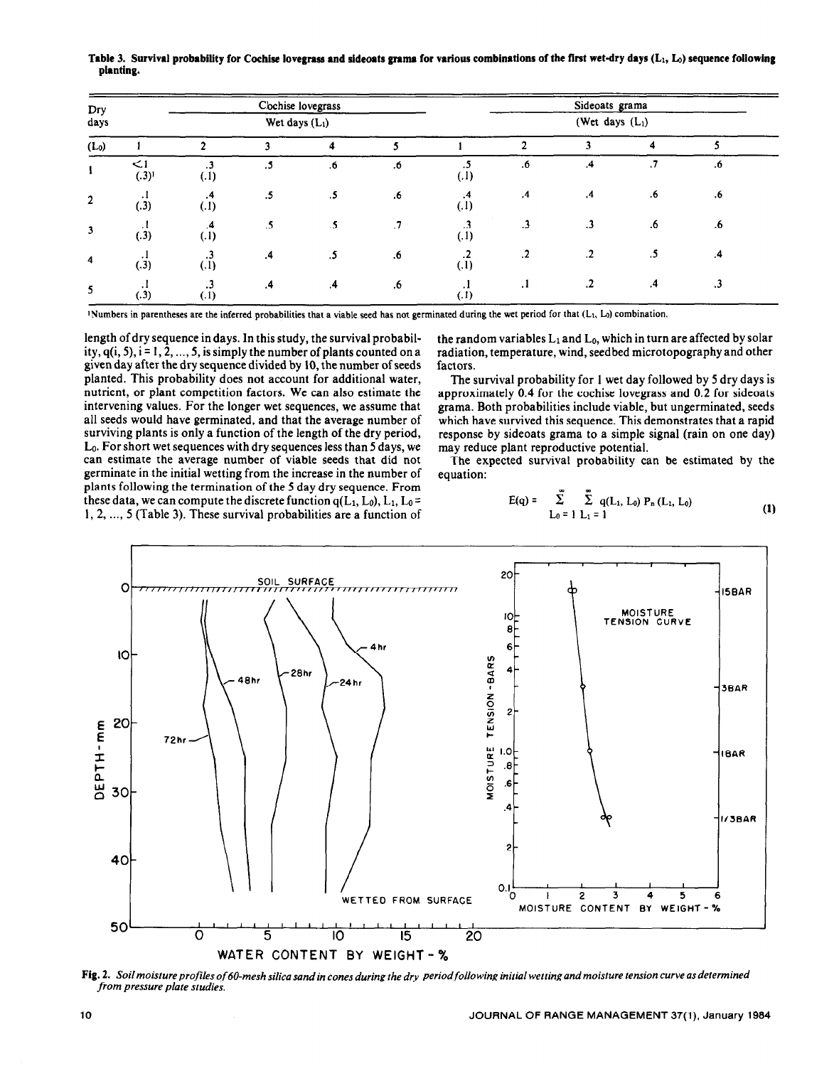**Dry** Chise lovegrass Sideoats grama<br> **Chise lovegrass** Sideoats grama days  $Wet days (L_1)$  (Wet days  $(L_1)$ (Lo) 1 2 3 4 5 1 2 3 4 5 .5 .6 .4 .7 .6  $\begin{array}{ccccccc} & & & \leq & 1 & & \dots & 3 & & \dots & 5 & & \dots & 6 & & \dots & 6 \end{array}$  $(.3)$  $(.1)$ 2 5 .5 .6 .4 .4 .6 .6 ಿ .3 .3 .6 .6 3  $\frac{1}{(3)}$   $\frac{4}{(1)}$  5  $\frac{5}{(5)}$  7  $(.1)$ .4 .5 .6 .2 .2 .2 .5 .4  $(.3)$  $(.1)$  $\cdot$  $.1$   $.2$   $.4$   $.3$ .4 .4 .6 5 (.3)  $(1)$  $(.1)$ 

**Table 3. Survival probability for Cochise lovegrass and sideoats grama for various combinations of the first wet-dry days** (h, Lo) **sequence following planting.** 

'Numbers in parentheses are the inferred probabilities that a viable seed has not germinated during the wet period for that (L<sub>1</sub>, L<sub>0</sub>) combination.

length of dry sequence in days. In this study, the survival probability,  $q(i, 5)$ ,  $i = 1, 2, ..., 5$ , is simply the number of plants counted on a given day after the dry sequence divided by 10, the number of seeds planted. This probability does not account for additional water, nutrient, or plant competition factors. We can also estimate the intervening values. For the longer wet sequences, we assume that all seeds would have germinated, and that the average number of surviving plants is only a function of the length of the dry period, LO. For short wet sequences with dry sequences less than 5 days, we can estimate the average number of viable seeds that did not germinate in the initial wetting from the increase in the number of plants following the termination of the 5 day dry sequence. From these data, we can compute the discrete function  $q(L_1, L_0)$ ,  $L_1, L_0 =$ 1, 2, ..., 5 (Table 3). These survival probabilities are a function of

the random variables  $L_1$  and  $L_0$ , which in turn are affected by solar radiation, temperature, wind, seedbed microtopography and other factors.

The survival probability for 1 wet day followed by 5 dry days is approximately 0.4 for the cochise lovegrass and 0.2 for sideoats grama. Both probabilities include viable, but ungerminated, seeds which have survived this sequence. This demonstrates that a rapid response by sideoats grama to a simple signal (rain on one day) may reduce plant reproductive potential.

The expected survival probability can be estimated by the equation:

$$
E(q) = \sum_{L_0 = 1}^{\infty} \sum_{L_1 = 1}^{\infty} q(L_1, L_0) P_n(L_1, L_0)
$$
 (1)



**Fig. 2.** *Soil* moisture *profiles of 60-mesh silica sandin cones during the dry periodfollowing initial wetting and moisture tension curve as determined /iom pressure plate studies.*